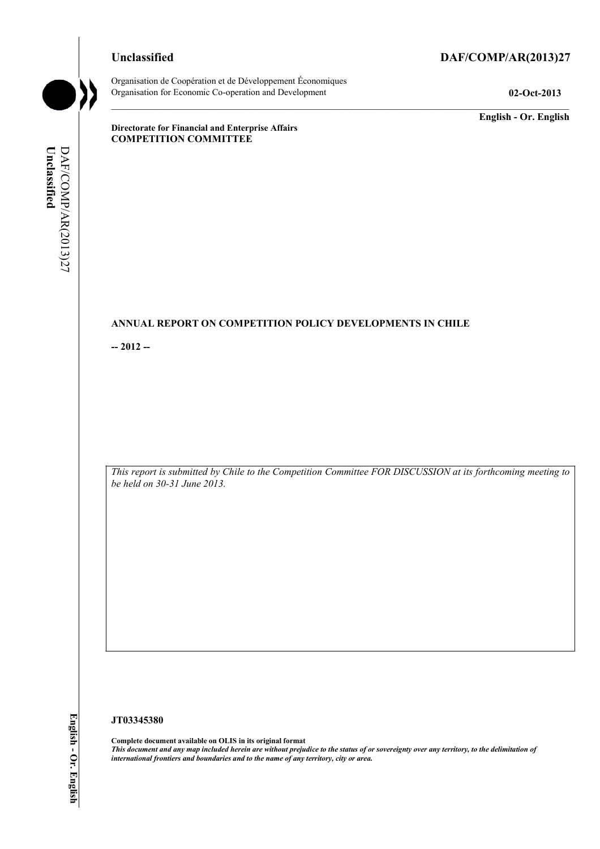# **Unclassified DAF/COMP/AR(2013)27**

Organisation de Coopération et de Développement Économiques Organisation for Economic Co-operation and Development **02-Oct-2013** 

**English - Or. English** 

**Directorate for Financial and Enterprise Affairs COMPETITION COMMITTEE** 

# **ANNUAL REPORT ON COMPETITION POLICY DEVELOPMENTS IN CHILE**

**-- 2012 --** 

*This report is submitted by Chile to the Competition Committee FOR DISCUSSION at its forthcoming meeting to be held on 30-31 June 2013.* 

#### **JT03345380**

**Complete document available on OLIS in its original format** *This document and any map included herein are without prejudice to the status of or sovereignty over any territory, to the delimitation of international frontiers and boundaries and to the name of any territory, city or area.*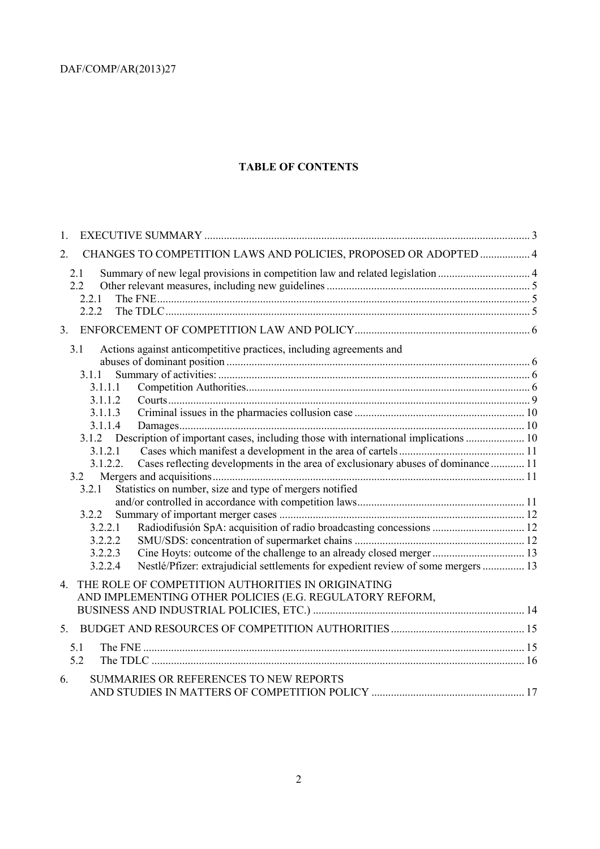# **TABLE OF CONTENTS**

| 1.                                                                                            |  |
|-----------------------------------------------------------------------------------------------|--|
| CHANGES TO COMPETITION LAWS AND POLICIES, PROPOSED OR ADOPTED  4<br>2.                        |  |
| Summary of new legal provisions in competition law and related legislation  4<br>2.1          |  |
| 2.2                                                                                           |  |
| 2.2.1                                                                                         |  |
| 2.2.2                                                                                         |  |
| 3.                                                                                            |  |
| 3.1<br>Actions against anticompetitive practices, including agreements and                    |  |
|                                                                                               |  |
| 3.1.1                                                                                         |  |
| 3.1.1.1                                                                                       |  |
| 3.1.1.2                                                                                       |  |
| 3.1.1.3                                                                                       |  |
| 3.1.1.4                                                                                       |  |
| 3.1.2 Description of important cases, including those with international implications  10     |  |
| 3.1.2.1                                                                                       |  |
| Cases reflecting developments in the area of exclusionary abuses of dominance  11<br>3.1.2.2. |  |
| 3.2                                                                                           |  |
| Statistics on number, size and type of mergers notified<br>3.2.1                              |  |
|                                                                                               |  |
| 3.2.2                                                                                         |  |
| Radiodifusión SpA: acquisition of radio broadcasting concessions  12<br>3.2.2.1               |  |
| 3.2.2.2                                                                                       |  |
| 3.2.2.3                                                                                       |  |
| Nestlé/Pfizer: extrajudicial settlements for expedient review of some mergers  13<br>3.2.2.4  |  |
|                                                                                               |  |
| THE ROLE OF COMPETITION AUTHORITIES IN ORIGINATING<br>4.                                      |  |
| AND IMPLEMENTING OTHER POLICIES (E.G. REGULATORY REFORM,                                      |  |
|                                                                                               |  |
| 5.                                                                                            |  |
| 5.1                                                                                           |  |
| 5.2                                                                                           |  |
|                                                                                               |  |
| SUMMARIES OR REFERENCES TO NEW REPORTS<br>6.                                                  |  |
|                                                                                               |  |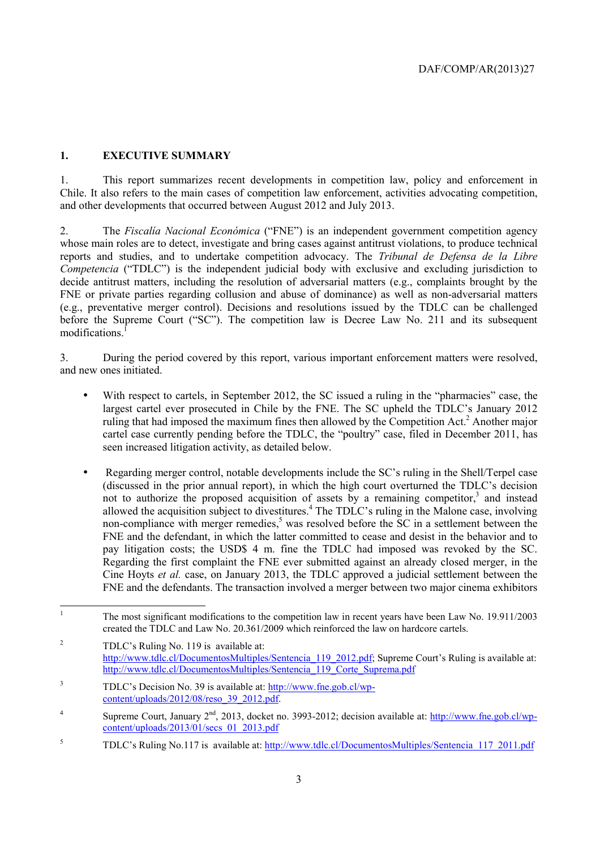# **1. EXECUTIVE SUMMARY**

1. This report summarizes recent developments in competition law, policy and enforcement in Chile. It also refers to the main cases of competition law enforcement, activities advocating competition, and other developments that occurred between August 2012 and July 2013.

2. The *Fiscalía Nacional Económica* ("FNE") is an independent government competition agency whose main roles are to detect, investigate and bring cases against antitrust violations, to produce technical reports and studies, and to undertake competition advocacy. The *Tribunal de Defensa de la Libre Competencia* ("TDLC") is the independent judicial body with exclusive and excluding jurisdiction to decide antitrust matters, including the resolution of adversarial matters (e.g., complaints brought by the FNE or private parties regarding collusion and abuse of dominance) as well as non-adversarial matters (e.g., preventative merger control). Decisions and resolutions issued by the TDLC can be challenged before the Supreme Court ("SC"). The competition law is Decree Law No. 211 and its subsequent modifications.<sup>1</sup>

3. During the period covered by this report, various important enforcement matters were resolved, and new ones initiated.

- With respect to cartels, in September 2012, the SC issued a ruling in the "pharmacies" case, the largest cartel ever prosecuted in Chile by the FNE. The SC upheld the TDLC's January 2012 ruling that had imposed the maximum fines then allowed by the Competition Act.<sup>2</sup> Another major cartel case currently pending before the TDLC, the "poultry" case, filed in December 2011, has seen increased litigation activity, as detailed below.
- Regarding merger control, notable developments include the SC's ruling in the Shell/Terpel case (discussed in the prior annual report), in which the high court overturned the TDLC's decision not to authorize the proposed acquisition of assets by a remaining competitor,<sup>3</sup> and instead allowed the acquisition subject to divestitures.<sup>4</sup> The TDLC's ruling in the Malone case, involving non-compliance with merger remedies, $5$  was resolved before the SC in a settlement between the FNE and the defendant, in which the latter committed to cease and desist in the behavior and to pay litigation costs; the USD\$ 4 m. fine the TDLC had imposed was revoked by the SC. Regarding the first complaint the FNE ever submitted against an already closed merger, in the Cine Hoyts *et al.* case, on January 2013, the TDLC approved a judicial settlement between the FNE and the defendants. The transaction involved a merger between two major cinema exhibitors

 $\frac{1}{1}$  The most significant modifications to the competition law in recent years have been Law No. 19.911/2003 created the TDLC and Law No. 20.361/2009 which reinforced the law on hardcore cartels.

<sup>2</sup> TDLC's Ruling No. 119 is available at: http://www.tdlc.cl/DocumentosMultiples/Sentencia\_119\_2012.pdf; Supreme Court's Ruling is available at: http://www.tdlc.cl/DocumentosMultiples/Sentencia<sup>-119</sup> Corte\_Suprema.pdf

<sup>3</sup> TDLC's Decision No. 39 is available at: http://www.fne.gob.cl/wpcontent/uploads/2012/08/reso\_39\_2012.pdf.

<sup>4</sup> Supreme Court, January  $2<sup>nd</sup>$ , 2013, docket no. 3993-2012; decision available at: http://www.fne.gob.cl/wpcontent/uploads/2013/01/secs\_01\_2013.pdf

<sup>5</sup> TDLC's Ruling No.117 is available at: http://www.tdlc.cl/DocumentosMultiples/Sentencia\_117\_2011.pdf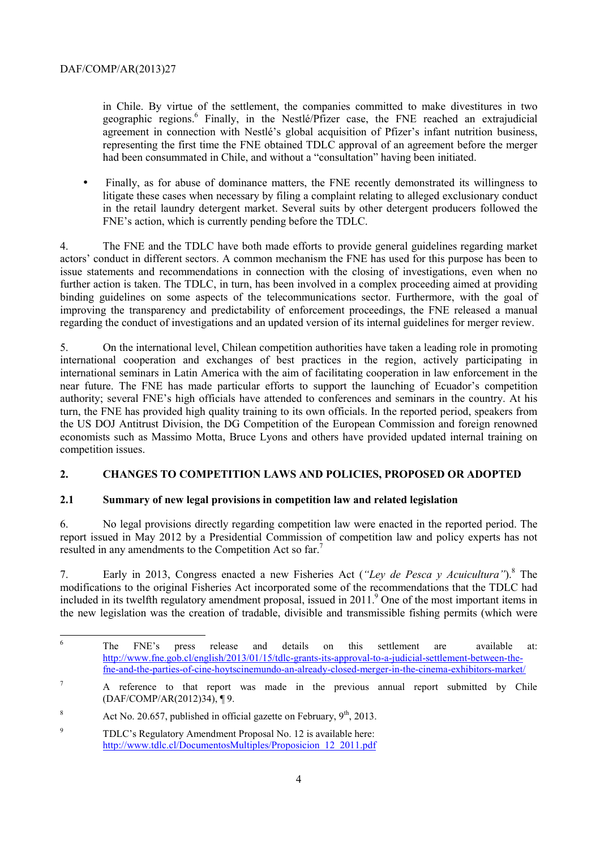in Chile. By virtue of the settlement, the companies committed to make divestitures in two geographic regions.<sup>6</sup> Finally, in the Nestlé/Pfizer case, the FNE reached an extrajudicial agreement in connection with Nestlé's global acquisition of Pfizer's infant nutrition business, representing the first time the FNE obtained TDLC approval of an agreement before the merger had been consummated in Chile, and without a "consultation" having been initiated.

• Finally, as for abuse of dominance matters, the FNE recently demonstrated its willingness to litigate these cases when necessary by filing a complaint relating to alleged exclusionary conduct in the retail laundry detergent market. Several suits by other detergent producers followed the FNE's action, which is currently pending before the TDLC.

4. The FNE and the TDLC have both made efforts to provide general guidelines regarding market actors' conduct in different sectors. A common mechanism the FNE has used for this purpose has been to issue statements and recommendations in connection with the closing of investigations, even when no further action is taken. The TDLC, in turn, has been involved in a complex proceeding aimed at providing binding guidelines on some aspects of the telecommunications sector. Furthermore, with the goal of improving the transparency and predictability of enforcement proceedings, the FNE released a manual regarding the conduct of investigations and an updated version of its internal guidelines for merger review.

5. On the international level, Chilean competition authorities have taken a leading role in promoting international cooperation and exchanges of best practices in the region, actively participating in international seminars in Latin America with the aim of facilitating cooperation in law enforcement in the near future. The FNE has made particular efforts to support the launching of Ecuador's competition authority; several FNE's high officials have attended to conferences and seminars in the country. At his turn, the FNE has provided high quality training to its own officials. In the reported period, speakers from the US DOJ Antitrust Division, the DG Competition of the European Commission and foreign renowned economists such as Massimo Motta, Bruce Lyons and others have provided updated internal training on competition issues.

# **2. CHANGES TO COMPETITION LAWS AND POLICIES, PROPOSED OR ADOPTED**

# **2.1 Summary of new legal provisions in competition law and related legislation**

6. No legal provisions directly regarding competition law were enacted in the reported period. The report issued in May 2012 by a Presidential Commission of competition law and policy experts has not resulted in any amendments to the Competition Act so far.7

7. Early in 2013, Congress enacted a new Fisheries Act (*"Ley de Pesca y Acuicultura"*).8 The modifications to the original Fisheries Act incorporated some of the recommendations that the TDLC had included in its twelfth regulatory amendment proposal, issued in 2011.<sup>9</sup> One of the most important items in the new legislation was the creation of tradable, divisible and transmissible fishing permits (which were

 6 The FNE's press release and details on this settlement are available at: http://www.fne.gob.cl/english/2013/01/15/tdlc-grants-its-approval-to-a-judicial-settlement-between-thefne-and-the-parties-of-cine-hoytscinemundo-an-already-closed-merger-in-the-cinema-exhibitors-market/

<sup>7</sup> A reference to that report was made in the previous annual report submitted by Chile (DAF/COMP/AR(2012)34), ¶ 9.

<sup>8</sup> Act No. 20.657, published in official gazette on February,  $9<sup>th</sup>$ , 2013.

<sup>9</sup> TDLC's Regulatory Amendment Proposal No. 12 is available here: http://www.tdlc.cl/DocumentosMultiples/Proposicion\_12\_2011.pdf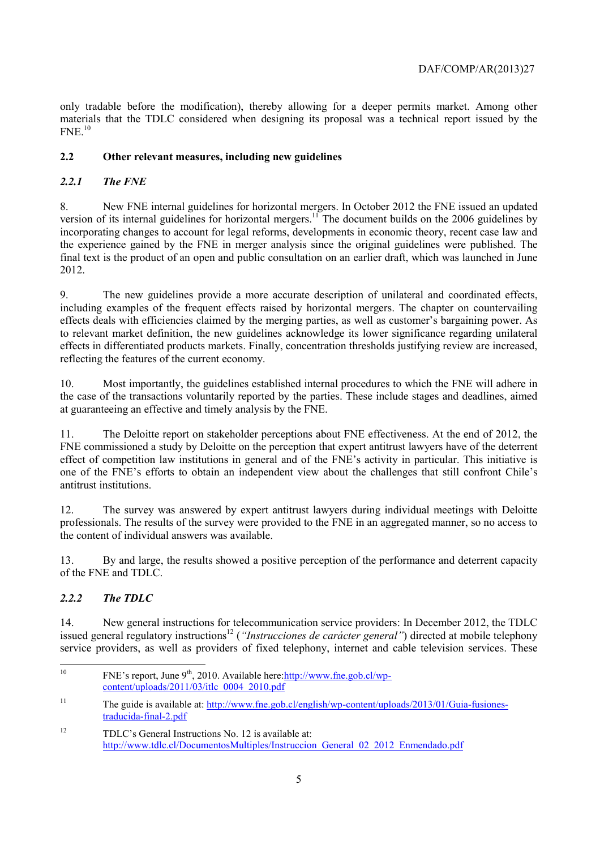only tradable before the modification), thereby allowing for a deeper permits market. Among other materials that the TDLC considered when designing its proposal was a technical report issued by the  $FNE$ <sup>10</sup>

# **2.2 Other relevant measures, including new guidelines**

# *2.2.1 The FNE*

8. New FNE internal guidelines for horizontal mergers. In October 2012 the FNE issued an updated version of its internal guidelines for horizontal mergers.<sup>11</sup> The document builds on the 2006 guidelines by incorporating changes to account for legal reforms, developments in economic theory, recent case law and the experience gained by the FNE in merger analysis since the original guidelines were published. The final text is the product of an open and public consultation on an earlier draft, which was launched in June 2012.

9. The new guidelines provide a more accurate description of unilateral and coordinated effects, including examples of the frequent effects raised by horizontal mergers. The chapter on countervailing effects deals with efficiencies claimed by the merging parties, as well as customer's bargaining power. As to relevant market definition, the new guidelines acknowledge its lower significance regarding unilateral effects in differentiated products markets. Finally, concentration thresholds justifying review are increased, reflecting the features of the current economy.

10. Most importantly, the guidelines established internal procedures to which the FNE will adhere in the case of the transactions voluntarily reported by the parties. These include stages and deadlines, aimed at guaranteeing an effective and timely analysis by the FNE.

11. The Deloitte report on stakeholder perceptions about FNE effectiveness. At the end of 2012, the FNE commissioned a study by Deloitte on the perception that expert antitrust lawyers have of the deterrent effect of competition law institutions in general and of the FNE's activity in particular. This initiative is one of the FNE's efforts to obtain an independent view about the challenges that still confront Chile's antitrust institutions.

12. The survey was answered by expert antitrust lawyers during individual meetings with Deloitte professionals. The results of the survey were provided to the FNE in an aggregated manner, so no access to the content of individual answers was available.

13. By and large, the results showed a positive perception of the performance and deterrent capacity of the FNE and TDLC.

# *2.2.2 The TDLC*

14. New general instructions for telecommunication service providers: In December 2012, the TDLC issued general regulatory instructions<sup>12</sup> (*"Instrucciones de carácter general"*) directed at mobile telephony service providers, as well as providers of fixed telephony, internet and cable television services. These

 $10<sup>10</sup>$ FNE's report, June 9<sup>th</sup>, 2010. Available here: http://www.fne.gob.cl/wpcontent/uploads/2011/03/itlc\_0004\_2010.pdf

<sup>&</sup>lt;sup>11</sup> The guide is available at: http://www.fne.gob.cl/english/wp-content/uploads/2013/01/Guia-fusionestraducida-final-2.pdf

<sup>&</sup>lt;sup>12</sup> TDLC's General Instructions No. 12 is available at: http://www.tdlc.cl/DocumentosMultiples/Instruccion\_General\_02\_2012\_Enmendado.pdf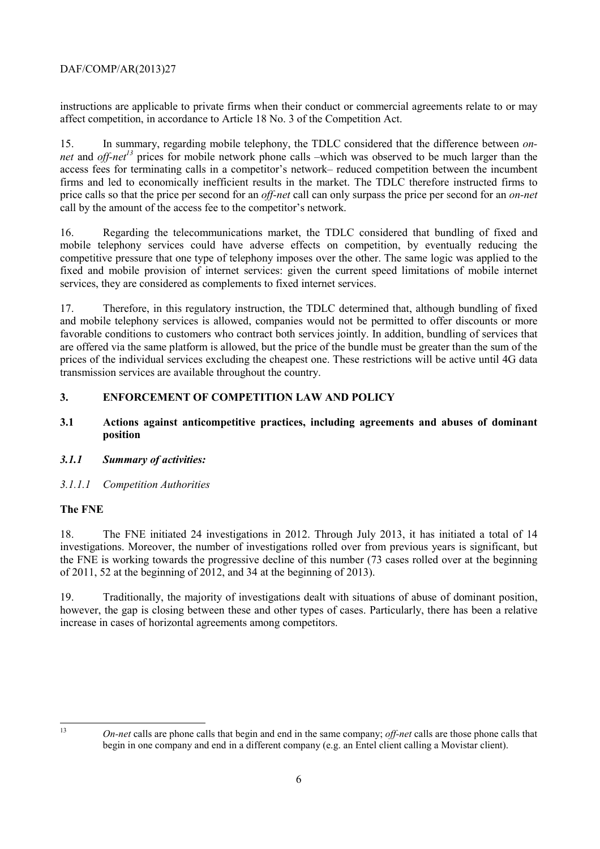instructions are applicable to private firms when their conduct or commercial agreements relate to or may affect competition, in accordance to Article 18 No. 3 of the Competition Act.

15. In summary, regarding mobile telephony, the TDLC considered that the difference between *onnet* and *off-net*<sup>13</sup> prices for mobile network phone calls –which was observed to be much larger than the access fees for terminating calls in a competitor's network– reduced competition between the incumbent firms and led to economically inefficient results in the market. The TDLC therefore instructed firms to price calls so that the price per second for an *off-net* call can only surpass the price per second for an *on-net* call by the amount of the access fee to the competitor's network.

16. Regarding the telecommunications market, the TDLC considered that bundling of fixed and mobile telephony services could have adverse effects on competition, by eventually reducing the competitive pressure that one type of telephony imposes over the other. The same logic was applied to the fixed and mobile provision of internet services: given the current speed limitations of mobile internet services, they are considered as complements to fixed internet services.

17. Therefore, in this regulatory instruction, the TDLC determined that, although bundling of fixed and mobile telephony services is allowed, companies would not be permitted to offer discounts or more favorable conditions to customers who contract both services jointly. In addition, bundling of services that are offered via the same platform is allowed, but the price of the bundle must be greater than the sum of the prices of the individual services excluding the cheapest one. These restrictions will be active until 4G data transmission services are available throughout the country.

# **3. ENFORCEMENT OF COMPETITION LAW AND POLICY**

## **3.1 Actions against anticompetitive practices, including agreements and abuses of dominant position**

# *3.1.1 Summary of activities:*

# *3.1.1.1 Competition Authorities*

# **The FNE**

18. The FNE initiated 24 investigations in 2012. Through July 2013, it has initiated a total of 14 investigations. Moreover, the number of investigations rolled over from previous years is significant, but the FNE is working towards the progressive decline of this number (73 cases rolled over at the beginning of 2011, 52 at the beginning of 2012, and 34 at the beginning of 2013).

19. Traditionally, the majority of investigations dealt with situations of abuse of dominant position, however, the gap is closing between these and other types of cases. Particularly, there has been a relative increase in cases of horizontal agreements among competitors.

 $13$ 

<sup>13</sup> *On-net* calls are phone calls that begin and end in the same company; *off-net* calls are those phone calls that begin in one company and end in a different company (e.g. an Entel client calling a Movistar client).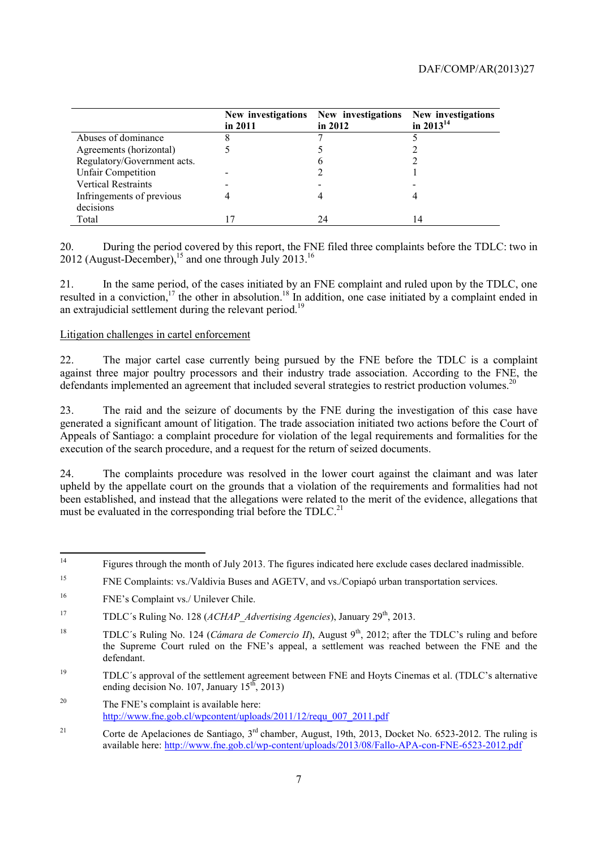|                             | New investigations<br>in 2011 | New investigations<br>in $2012$ | New investigations<br>in $2013^{14}$ |
|-----------------------------|-------------------------------|---------------------------------|--------------------------------------|
| Abuses of dominance         |                               |                                 |                                      |
| Agreements (horizontal)     |                               |                                 |                                      |
| Regulatory/Government acts. |                               | O                               |                                      |
| <b>Unfair Competition</b>   |                               |                                 |                                      |
| <b>Vertical Restraints</b>  |                               |                                 |                                      |
| Infringements of previous   |                               |                                 |                                      |
| decisions                   |                               |                                 |                                      |
| Total                       |                               | 24                              | 14                                   |

20. During the period covered by this report, the FNE filed three complaints before the TDLC: two in 2012 (August-December),<sup>15</sup> and one through July 2013.<sup>16</sup>

21. In the same period, of the cases initiated by an FNE complaint and ruled upon by the TDLC, one resulted in a conviction,<sup>17</sup> the other in absolution.<sup>18</sup> In addition, one case initiated by a complaint ended in an extrajudicial settlement during the relevant period.<sup>19</sup>

#### Litigation challenges in cartel enforcement

22. The major cartel case currently being pursued by the FNE before the TDLC is a complaint against three major poultry processors and their industry trade association. According to the FNE, the defendants implemented an agreement that included several strategies to restrict production volumes.<sup>20</sup>

23. The raid and the seizure of documents by the FNE during the investigation of this case have generated a significant amount of litigation. The trade association initiated two actions before the Court of Appeals of Santiago: a complaint procedure for violation of the legal requirements and formalities for the execution of the search procedure, and a request for the return of seized documents.

24. The complaints procedure was resolved in the lower court against the claimant and was later upheld by the appellate court on the grounds that a violation of the requirements and formalities had not been established, and instead that the allegations were related to the merit of the evidence, allegations that must be evaluated in the corresponding trial before the TDLC.<sup>21</sup>

 $\overline{14}$ 14 Figures through the month of July 2013. The figures indicated here exclude cases declared inadmissible.

<sup>15</sup> FNE Complaints: vs./Valdivia Buses and AGETV, and vs./Copiapó urban transportation services.

<sup>16</sup> FNE's Complaint vs./ Unilever Chile.

<sup>&</sup>lt;sup>17</sup> TDLC's Ruling No. 128 (*ACHAP Advertising Agencies*), January 29<sup>th</sup>, 2013.

<sup>&</sup>lt;sup>18</sup> TDLC's Ruling No. 124 (*Cámara de Comercio II*), August  $9<sup>th</sup>$ , 2012; after the TDLC's ruling and before the Supreme Court ruled on the FNE's appeal, a settlement was reached between the FNE and the defendant.

<sup>19</sup> TDLC´s approval of the settlement agreement between FNE and Hoyts Cinemas et al. (TDLC's alternative ending decision No. 107, January  $15^{th}$ , 2013)

<sup>&</sup>lt;sup>20</sup> The FNE's complaint is available here: http://www.fne.gob.cl/wpcontent/uploads/2011/12/requ\_007\_2011.pdf

<sup>&</sup>lt;sup>21</sup> Corte de Apelaciones de Santiago,  $3<sup>rd</sup>$  chamber, August, 19th, 2013, Docket No. 6523-2012. The ruling is available here: http://www.fne.gob.cl/wp-content/uploads/2013/08/Fallo-APA-con-FNE-6523-2012.pdf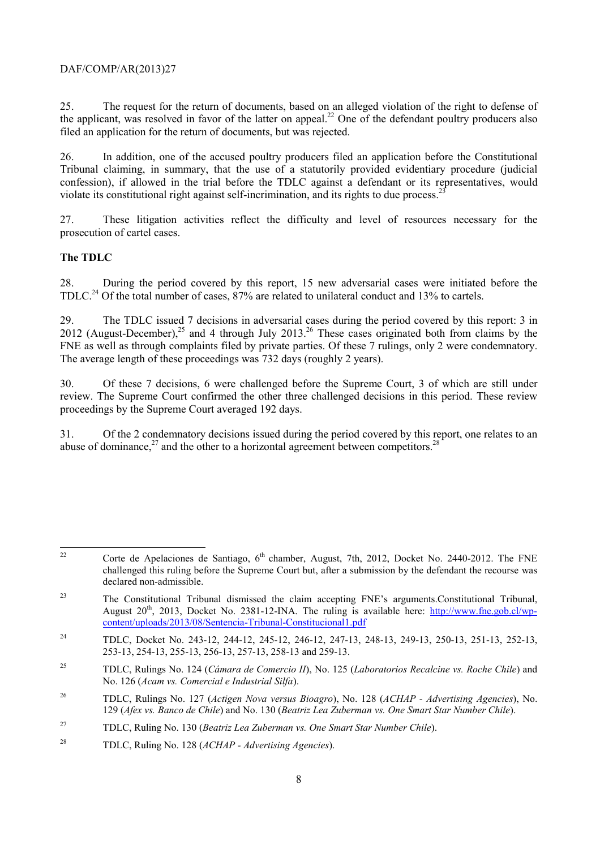25. The request for the return of documents, based on an alleged violation of the right to defense of the applicant, was resolved in favor of the latter on appeal.<sup>22</sup> One of the defendant poultry producers also filed an application for the return of documents, but was rejected.

26. In addition, one of the accused poultry producers filed an application before the Constitutional Tribunal claiming, in summary, that the use of a statutorily provided evidentiary procedure (judicial confession), if allowed in the trial before the TDLC against a defendant or its representatives, would violate its constitutional right against self-incrimination, and its rights to due process.<sup>2</sup>

27. These litigation activities reflect the difficulty and level of resources necessary for the prosecution of cartel cases.

#### **The TDLC**

28. During the period covered by this report, 15 new adversarial cases were initiated before the TDLC.<sup>24</sup> Of the total number of cases, 87% are related to unilateral conduct and 13% to cartels.

29. The TDLC issued 7 decisions in adversarial cases during the period covered by this report: 3 in 2012 (August-December),<sup>25</sup> and 4 through July 2013.<sup>26</sup> These cases originated both from claims by the FNE as well as through complaints filed by private parties. Of these 7 rulings, only 2 were condemnatory. The average length of these proceedings was 732 days (roughly 2 years).

30. Of these 7 decisions, 6 were challenged before the Supreme Court, 3 of which are still under review. The Supreme Court confirmed the other three challenged decisions in this period. These review proceedings by the Supreme Court averaged 192 days.

31. Of the 2 condemnatory decisions issued during the period covered by this report, one relates to an abuse of dominance, $^{27}$  and the other to a horizontal agreement between competitors.<sup>28</sup>

<sup>22</sup> Corte de Apelaciones de Santiago,  $6<sup>th</sup>$  chamber, August, 7th, 2012, Docket No. 2440-2012. The FNE challenged this ruling before the Supreme Court but, after a submission by the defendant the recourse was declared non-admissible.

<sup>&</sup>lt;sup>23</sup> The Constitutional Tribunal dismissed the claim accepting FNE's arguments.Constitutional Tribunal, August 20<sup>th</sup>, 2013, Docket No. 2381-12-INA. The ruling is available here: http://www.fne.gob.cl/wpcontent/uploads/2013/08/Sentencia-Tribunal-Constitucional1.pdf

<sup>24</sup> TDLC, Docket No. 243-12, 244-12, 245-12, 246-12, 247-13, 248-13, 249-13, 250-13, 251-13, 252-13, 253-13, 254-13, 255-13, 256-13, 257-13, 258-13 and 259-13.

<sup>25</sup> TDLC, Rulings No. 124 (*Cámara de Comercio II*), No. 125 (*Laboratorios Recalcine vs. Roche Chile*) and No. 126 (*Acam vs. Comercial e Industrial Silfa*).

<sup>26</sup> TDLC, Rulings No. 127 (*Actigen Nova versus Bioagro*), No. 128 (*ACHAP - Advertising Agencies*), No. 129 (*Afex vs. Banco de Chile*) and No. 130 (*Beatriz Lea Zuberman vs. One Smart Star Number Chile*).

<sup>27</sup> TDLC, Ruling No. 130 (*Beatriz Lea Zuberman vs. One Smart Star Number Chile*).

<sup>28</sup> TDLC, Ruling No. 128 (*ACHAP - Advertising Agencies*).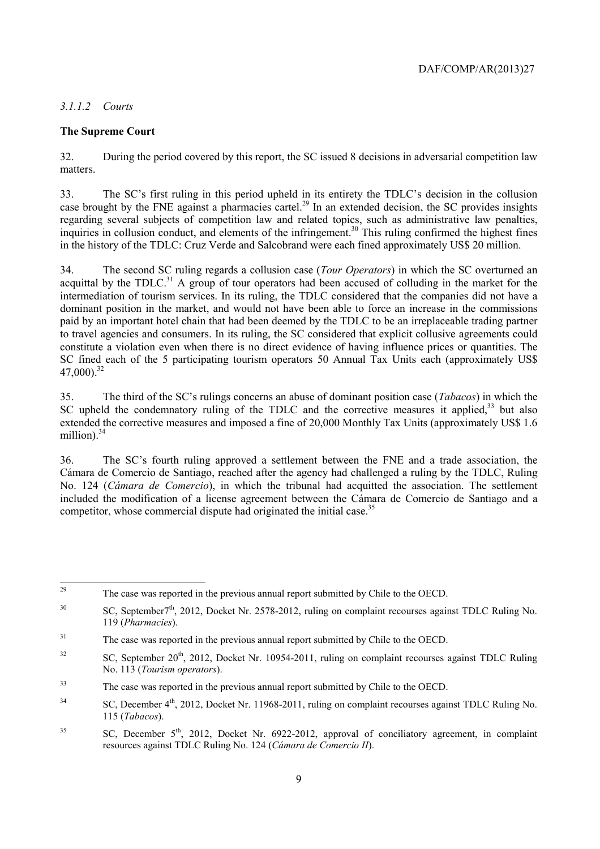#### *3.1.1.2 Courts*

#### **The Supreme Court**

32. During the period covered by this report, the SC issued 8 decisions in adversarial competition law matters.

33. The SC's first ruling in this period upheld in its entirety the TDLC's decision in the collusion case brought by the FNE against a pharmacies cartel.<sup>29</sup> In an extended decision, the SC provides insights regarding several subjects of competition law and related topics, such as administrative law penalties, inquiries in collusion conduct, and elements of the infringement.<sup>30</sup> This ruling confirmed the highest fines in the history of the TDLC: Cruz Verde and Salcobrand were each fined approximately US\$ 20 million.

34. The second SC ruling regards a collusion case (*Tour Operators*) in which the SC overturned an acquittal by the TDLC.<sup>31</sup> A group of tour operators had been accused of colluding in the market for the intermediation of tourism services. In its ruling, the TDLC considered that the companies did not have a dominant position in the market, and would not have been able to force an increase in the commissions paid by an important hotel chain that had been deemed by the TDLC to be an irreplaceable trading partner to travel agencies and consumers. In its ruling, the SC considered that explicit collusive agreements could constitute a violation even when there is no direct evidence of having influence prices or quantities. The SC fined each of the 5 participating tourism operators 50 Annual Tax Units each (approximately US\$ 47,000).32

35. The third of the SC's rulings concerns an abuse of dominant position case (*Tabacos*) in which the SC upheld the condemnatory ruling of the TDLC and the corrective measures it applied, $33$  but also extended the corrective measures and imposed a fine of 20,000 Monthly Tax Units (approximately US\$ 1.6 million). $34$ 

36. The SC's fourth ruling approved a settlement between the FNE and a trade association, the Cámara de Comercio de Santiago, reached after the agency had challenged a ruling by the TDLC, Ruling No. 124 (*Cámara de Comercio*), in which the tribunal had acquitted the association. The settlement included the modification of a license agreement between the Cámara de Comercio de Santiago and a competitor, whose commercial dispute had originated the initial case.<sup>35</sup>

<sup>29</sup> The case was reported in the previous annual report submitted by Chile to the OECD.

<sup>&</sup>lt;sup>30</sup> SC, September<sup>7th</sup>, 2012, Docket Nr. 2578-2012, ruling on complaint recourses against TDLC Ruling No. 119 (*Pharmacies*).

<sup>&</sup>lt;sup>31</sup> The case was reported in the previous annual report submitted by Chile to the OECD.

 $32$  SC, September 20<sup>th</sup>, 2012, Docket Nr. 10954-2011, ruling on complaint recourses against TDLC Ruling No. 113 (*Tourism operators*).

<sup>33</sup> The case was reported in the previous annual report submitted by Chile to the OECD.

<sup>&</sup>lt;sup>34</sup> SC, December 4<sup>th</sup>, 2012, Docket Nr. 11968-2011, ruling on complaint recourses against TDLC Ruling No. 115 (*Tabacos*).

 ${}^{35}$  SC, December  $5<sup>th</sup>$ , 2012, Docket Nr. 6922-2012, approval of conciliatory agreement, in complaint resources against TDLC Ruling No. 124 (*Cámara de Comercio II*).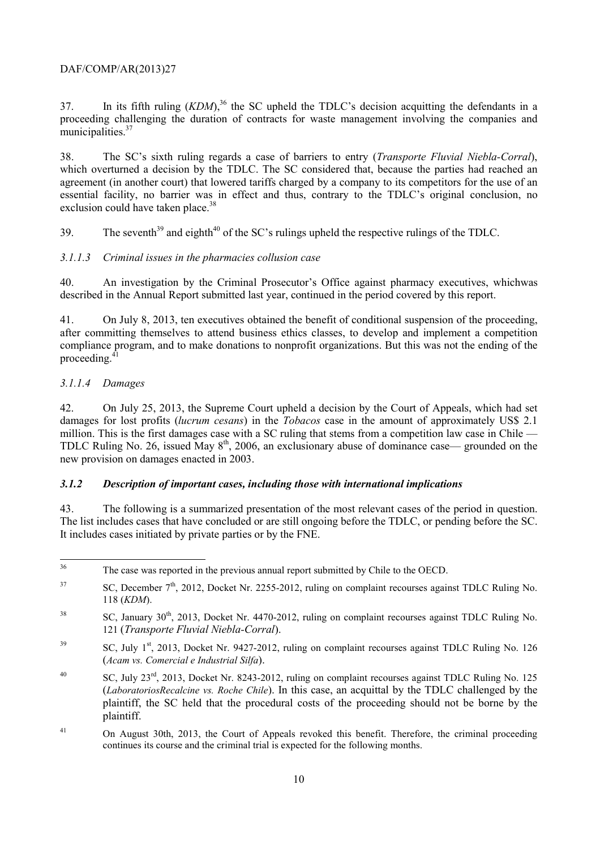37. In its fifth ruling  $(KDM)$ ,<sup>36</sup> the SC upheld the TDLC's decision acquitting the defendants in a proceeding challenging the duration of contracts for waste management involving the companies and municipalities.<sup>37</sup>

38. The SC's sixth ruling regards a case of barriers to entry (*Transporte Fluvial Niebla-Corral*), which overturned a decision by the TDLC. The SC considered that, because the parties had reached an agreement (in another court) that lowered tariffs charged by a company to its competitors for the use of an essential facility, no barrier was in effect and thus, contrary to the TDLC's original conclusion, no exclusion could have taken place.<sup>38</sup>

39. The seventh<sup>39</sup> and eighth<sup>40</sup> of the SC's rulings upheld the respective rulings of the TDLC.

# *3.1.1.3 Criminal issues in the pharmacies collusion case*

40. An investigation by the Criminal Prosecutor's Office against pharmacy executives, whichwas described in the Annual Report submitted last year, continued in the period covered by this report.

41. On July 8, 2013, ten executives obtained the benefit of conditional suspension of the proceeding, after committing themselves to attend business ethics classes, to develop and implement a competition compliance program, and to make donations to nonprofit organizations. But this was not the ending of the proceeding.<sup>4</sup>

# *3.1.1.4 Damages*

42. On July 25, 2013, the Supreme Court upheld a decision by the Court of Appeals, which had set damages for lost profits (*lucrum cesans*) in the *Tobacos* case in the amount of approximately US\$ 2.1 million. This is the first damages case with a SC ruling that stems from a competition law case in Chile — TDLC Ruling No. 26, issued May  $8<sup>th</sup>$ , 2006, an exclusionary abuse of dominance case— grounded on the new provision on damages enacted in 2003.

#### *3.1.2 Description of important cases, including those with international implications*

43. The following is a summarized presentation of the most relevant cases of the period in question. The list includes cases that have concluded or are still ongoing before the TDLC, or pending before the SC. It includes cases initiated by private parties or by the FNE.

<sup>36</sup> The case was reported in the previous annual report submitted by Chile to the OECD.

<sup>&</sup>lt;sup>37</sup> SC, December 7<sup>th</sup>, 2012, Docket Nr. 2255-2012, ruling on complaint recourses against TDLC Ruling No. 118 (*KDM*).

 $38$  SC, January  $30<sup>th</sup>$ , 2013, Docket Nr. 4470-2012, ruling on complaint recourses against TDLC Ruling No. 121 (*Transporte Fluvial Niebla-Corral*).

<sup>&</sup>lt;sup>39</sup> SC, July 1<sup>st</sup>, 2013, Docket Nr. 9427-2012, ruling on complaint recourses against TDLC Ruling No. 126 (*Acam vs. Comercial e Industrial Silfa*).

<sup>&</sup>lt;sup>40</sup> SC, July 23<sup>rd</sup>, 2013, Docket Nr. 8243-2012, ruling on complaint recourses against TDLC Ruling No. 125 (*LaboratoriosRecalcine vs. Roche Chile*). In this case, an acquittal by the TDLC challenged by the plaintiff, the SC held that the procedural costs of the proceeding should not be borne by the plaintiff.

<sup>&</sup>lt;sup>41</sup> On August 30th, 2013, the Court of Appeals revoked this benefit. Therefore, the criminal proceeding continues its course and the criminal trial is expected for the following months.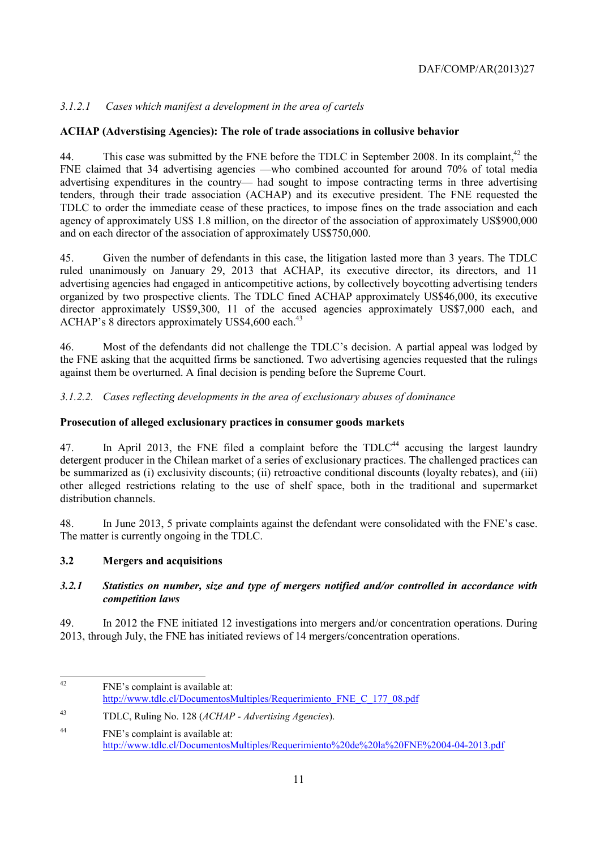# *3.1.2.1 Cases which manifest a development in the area of cartels*

## **ACHAP (Adverstising Agencies): The role of trade associations in collusive behavior**

44. This case was submitted by the FNE before the TDLC in September 2008. In its complaint,  $42$  the FNE claimed that 34 advertising agencies —who combined accounted for around 70% of total media advertising expenditures in the country— had sought to impose contracting terms in three advertising tenders, through their trade association (ACHAP) and its executive president. The FNE requested the TDLC to order the immediate cease of these practices, to impose fines on the trade association and each agency of approximately US\$ 1.8 million, on the director of the association of approximately US\$900,000 and on each director of the association of approximately US\$750,000.

45. Given the number of defendants in this case, the litigation lasted more than 3 years. The TDLC ruled unanimously on January 29, 2013 that ACHAP, its executive director, its directors, and 11 advertising agencies had engaged in anticompetitive actions, by collectively boycotting advertising tenders organized by two prospective clients. The TDLC fined ACHAP approximately US\$46,000, its executive director approximately US\$9,300, 11 of the accused agencies approximately US\$7,000 each, and ACHAP's 8 directors approximately US\$4,600 each.<sup>43</sup>

46. Most of the defendants did not challenge the TDLC's decision. A partial appeal was lodged by the FNE asking that the acquitted firms be sanctioned. Two advertising agencies requested that the rulings against them be overturned. A final decision is pending before the Supreme Court.

*3.1.2.2. Cases reflecting developments in the area of exclusionary abuses of dominance* 

## **Prosecution of alleged exclusionary practices in consumer goods markets**

47. In April 2013, the FNE filed a complaint before the  $TDLC<sup>44</sup>$  accusing the largest laundry detergent producer in the Chilean market of a series of exclusionary practices. The challenged practices can be summarized as (i) exclusivity discounts; (ii) retroactive conditional discounts (loyalty rebates), and (iii) other alleged restrictions relating to the use of shelf space, both in the traditional and supermarket distribution channels.

48. In June 2013, 5 private complaints against the defendant were consolidated with the FNE's case. The matter is currently ongoing in the TDLC.

# **3.2 Mergers and acquisitions**

#### *3.2.1 Statistics on number, size and type of mergers notified and/or controlled in accordance with competition laws*

49. In 2012 the FNE initiated 12 investigations into mergers and/or concentration operations. During 2013, through July, the FNE has initiated reviews of 14 mergers/concentration operations.

 $42$ FNE's complaint is available at: http://www.tdlc.cl/DocumentosMultiples/Requerimiento\_FNE\_C\_177\_08.pdf

<sup>43</sup> TDLC, Ruling No. 128 (*ACHAP - Advertising Agencies*).

<sup>44</sup> FNE's complaint is available at: http://www.tdlc.cl/DocumentosMultiples/Requerimiento%20de%20la%20FNE%2004-04-2013.pdf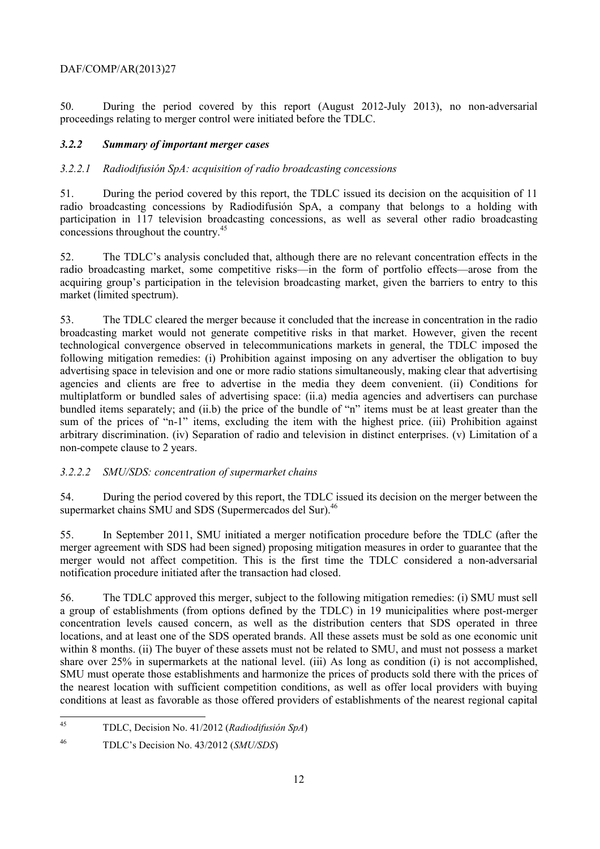50. During the period covered by this report (August 2012-July 2013), no non-adversarial proceedings relating to merger control were initiated before the TDLC.

#### *3.2.2 Summary of important merger cases*

#### *3.2.2.1 Radiodifusión SpA: acquisition of radio broadcasting concessions*

51. During the period covered by this report, the TDLC issued its decision on the acquisition of 11 radio broadcasting concessions by Radiodifusión SpA, a company that belongs to a holding with participation in 117 television broadcasting concessions, as well as several other radio broadcasting concessions throughout the country.<sup>45</sup>

52. The TDLC's analysis concluded that, although there are no relevant concentration effects in the radio broadcasting market, some competitive risks—in the form of portfolio effects—arose from the acquiring group's participation in the television broadcasting market, given the barriers to entry to this market (limited spectrum).

53. The TDLC cleared the merger because it concluded that the increase in concentration in the radio broadcasting market would not generate competitive risks in that market. However, given the recent technological convergence observed in telecommunications markets in general, the TDLC imposed the following mitigation remedies: (i) Prohibition against imposing on any advertiser the obligation to buy advertising space in television and one or more radio stations simultaneously, making clear that advertising agencies and clients are free to advertise in the media they deem convenient. (ii) Conditions for multiplatform or bundled sales of advertising space: (ii.a) media agencies and advertisers can purchase bundled items separately; and (ii.b) the price of the bundle of "n" items must be at least greater than the sum of the prices of "n-1" items, excluding the item with the highest price. (iii) Prohibition against arbitrary discrimination. (iv) Separation of radio and television in distinct enterprises. (v) Limitation of a non-compete clause to 2 years.

# *3.2.2.2 SMU/SDS: concentration of supermarket chains*

54. During the period covered by this report, the TDLC issued its decision on the merger between the supermarket chains SMU and SDS (Supermercados del Sur).<sup>46</sup>

55. In September 2011, SMU initiated a merger notification procedure before the TDLC (after the merger agreement with SDS had been signed) proposing mitigation measures in order to guarantee that the merger would not affect competition. This is the first time the TDLC considered a non-adversarial notification procedure initiated after the transaction had closed.

56. The TDLC approved this merger, subject to the following mitigation remedies: (i) SMU must sell a group of establishments (from options defined by the TDLC) in 19 municipalities where post-merger concentration levels caused concern, as well as the distribution centers that SDS operated in three locations, and at least one of the SDS operated brands. All these assets must be sold as one economic unit within 8 months. (ii) The buyer of these assets must not be related to SMU, and must not possess a market share over 25% in supermarkets at the national level. (iii) As long as condition (i) is not accomplished, SMU must operate those establishments and harmonize the prices of products sold there with the prices of the nearest location with sufficient competition conditions, as well as offer local providers with buying conditions at least as favorable as those offered providers of establishments of the nearest regional capital

 $45$ 45 TDLC, Decision No. 41/2012 (*Radiodifusión SpA*)

<sup>46</sup> TDLC's Decision No. 43/2012 (*SMU/SDS*)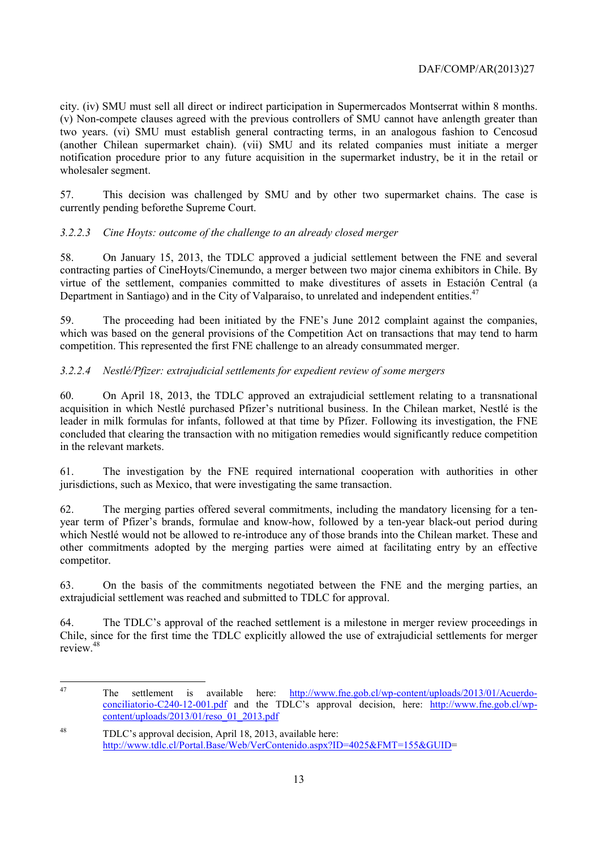city. (iv) SMU must sell all direct or indirect participation in Supermercados Montserrat within 8 months. (v) Non-compete clauses agreed with the previous controllers of SMU cannot have anlength greater than two years. (vi) SMU must establish general contracting terms, in an analogous fashion to Cencosud (another Chilean supermarket chain). (vii) SMU and its related companies must initiate a merger notification procedure prior to any future acquisition in the supermarket industry, be it in the retail or wholesaler segment.

57. This decision was challenged by SMU and by other two supermarket chains. The case is currently pending beforethe Supreme Court.

#### *3.2.2.3 Cine Hoyts: outcome of the challenge to an already closed merger*

58. On January 15, 2013, the TDLC approved a judicial settlement between the FNE and several contracting parties of CineHoyts/Cinemundo, a merger between two major cinema exhibitors in Chile. By virtue of the settlement, companies committed to make divestitures of assets in Estación Central (a Department in Santiago) and in the City of Valparaíso, to unrelated and independent entities.<sup>47</sup>

59. The proceeding had been initiated by the FNE's June 2012 complaint against the companies, which was based on the general provisions of the Competition Act on transactions that may tend to harm competition. This represented the first FNE challenge to an already consummated merger.

#### *3.2.2.4 Nestlé/Pfizer: extrajudicial settlements for expedient review of some mergers*

60. On April 18, 2013, the TDLC approved an extrajudicial settlement relating to a transnational acquisition in which Nestlé purchased Pfizer's nutritional business. In the Chilean market, Nestlé is the leader in milk formulas for infants, followed at that time by Pfizer. Following its investigation, the FNE concluded that clearing the transaction with no mitigation remedies would significantly reduce competition in the relevant markets.

61. The investigation by the FNE required international cooperation with authorities in other jurisdictions, such as Mexico, that were investigating the same transaction.

62. The merging parties offered several commitments, including the mandatory licensing for a tenyear term of Pfizer's brands, formulae and know-how, followed by a ten-year black-out period during which Nestlé would not be allowed to re-introduce any of those brands into the Chilean market. These and other commitments adopted by the merging parties were aimed at facilitating entry by an effective competitor.

63. On the basis of the commitments negotiated between the FNE and the merging parties, an extrajudicial settlement was reached and submitted to TDLC for approval.

64. The TDLC's approval of the reached settlement is a milestone in merger review proceedings in Chile, since for the first time the TDLC explicitly allowed the use of extrajudicial settlements for merger review<sup>48</sup>

 $\Delta$ 7 47 The settlement is available here: http://www.fne.gob.cl/wp-content/uploads/2013/01/Acuerdoconciliatorio-C240-12-001.pdf and the TDLC's approval decision, here: http://www.fne.gob.cl/wpcontent/uploads/2013/01/reso\_01\_2013.pdf

<sup>48</sup> TDLC's approval decision, April 18, 2013, available here: http://www.tdlc.cl/Portal.Base/Web/VerContenido.aspx?ID=4025&FMT=155&GUID=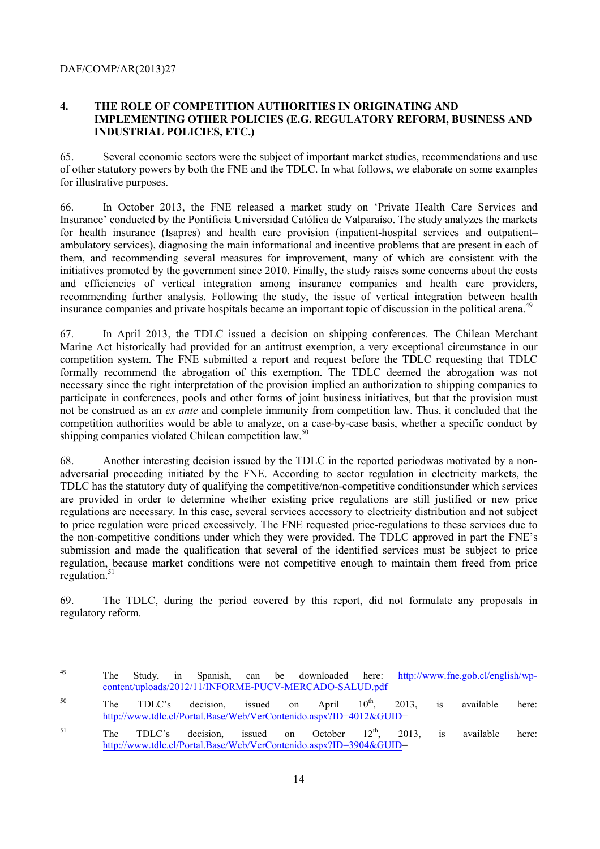#### **4. THE ROLE OF COMPETITION AUTHORITIES IN ORIGINATING AND IMPLEMENTING OTHER POLICIES (E.G. REGULATORY REFORM, BUSINESS AND INDUSTRIAL POLICIES, ETC.)**

65. Several economic sectors were the subject of important market studies, recommendations and use of other statutory powers by both the FNE and the TDLC. In what follows, we elaborate on some examples for illustrative purposes.

66. In October 2013, the FNE released a market study on 'Private Health Care Services and Insurance' conducted by the Pontificia Universidad Católica de Valparaíso. The study analyzes the markets for health insurance (Isapres) and health care provision (inpatient-hospital services and outpatient– ambulatory services), diagnosing the main informational and incentive problems that are present in each of them, and recommending several measures for improvement, many of which are consistent with the initiatives promoted by the government since 2010. Finally, the study raises some concerns about the costs and efficiencies of vertical integration among insurance companies and health care providers, recommending further analysis. Following the study, the issue of vertical integration between health insurance companies and private hospitals became an important topic of discussion in the political arena.<sup>49</sup>

67. In April 2013, the TDLC issued a decision on shipping conferences. The Chilean Merchant Marine Act historically had provided for an antitrust exemption, a very exceptional circumstance in our competition system. The FNE submitted a report and request before the TDLC requesting that TDLC formally recommend the abrogation of this exemption. The TDLC deemed the abrogation was not necessary since the right interpretation of the provision implied an authorization to shipping companies to participate in conferences, pools and other forms of joint business initiatives, but that the provision must not be construed as an *ex ante* and complete immunity from competition law. Thus, it concluded that the competition authorities would be able to analyze, on a case-by-case basis, whether a specific conduct by shipping companies violated Chilean competition law.<sup>50</sup>

68. Another interesting decision issued by the TDLC in the reported periodwas motivated by a nonadversarial proceeding initiated by the FNE. According to sector regulation in electricity markets, the TDLC has the statutory duty of qualifying the competitive/non-competitive conditionsunder which services are provided in order to determine whether existing price regulations are still justified or new price regulations are necessary. In this case, several services accessory to electricity distribution and not subject to price regulation were priced excessively. The FNE requested price-regulations to these services due to the non-competitive conditions under which they were provided. The TDLC approved in part the FNE's submission and made the qualification that several of the identified services must be subject to price regulation, because market conditions were not competitive enough to maintain them freed from price regulation. $51$ 

69. The TDLC, during the period covered by this report, did not formulate any proposals in regulatory reform.

<sup>49</sup> 49 The Study, in Spanish, can be downloaded here: http://www.fne.gob.cl/english/wpcontent/uploads/2012/11/INFORME-PUCV-MERCADO-SALUD.pdf

<sup>&</sup>lt;sup>50</sup> The TDLC's decision, issued on April  $10^{th}$ , 2013, is available here: http://www.tdlc.cl/Portal.Base/Web/VerContenido.aspx?ID=4012&GUID=

<sup>&</sup>lt;sup>51</sup> The TDLC's decision, issued on October  $12<sup>th</sup>$ , 2013, is available here: http://www.tdlc.cl/Portal.Base/Web/VerContenido.aspx?ID=3904&GUID=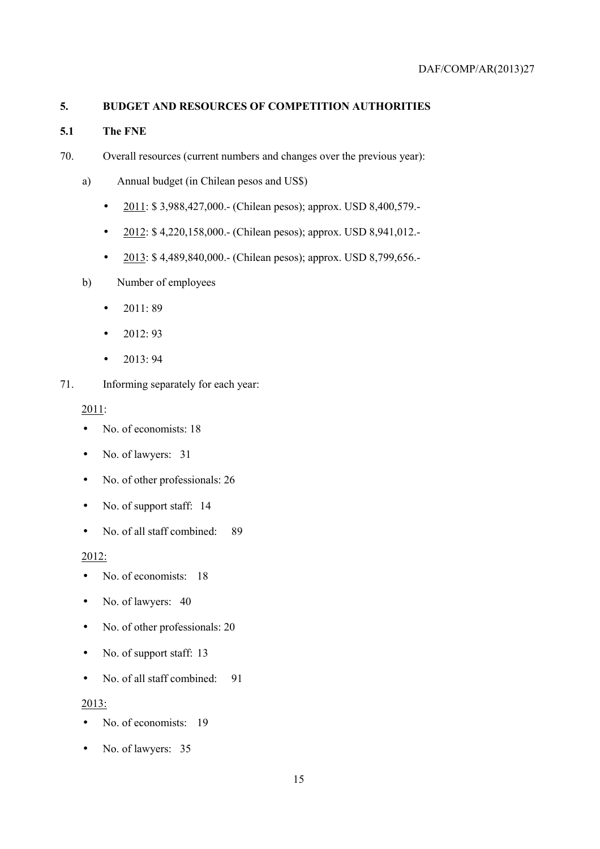## **5. BUDGET AND RESOURCES OF COMPETITION AUTHORITIES**

## **5.1 The FNE**

- 70. Overall resources (current numbers and changes over the previous year):
	- a) Annual budget (in Chilean pesos and US\$)
		- 2011: \$ 3,988,427,000.- (Chilean pesos); approx. USD 8,400,579.-
		- $2012: $4,220,158,000.$  (Chilean pesos); approx. USD 8,941,012.
		- 2013: \$4,489,840,000.- (Chilean pesos); approx. USD 8,799,656.-
	- b) Number of employees
		- $2011:89$
		- $2012:93$
		- $2013:94$
- 71. Informing separately for each year:

2011:

- No. of economists: 18
- No. of lawyers: 31
- No. of other professionals: 26
- No. of support staff: 14
- No. of all staff combined: 89

2012:

- No. of economists: 18
- No. of lawyers: 40
- No. of other professionals: 20
- No. of support staff: 13
- No. of all staff combined: 91

2013:

- No. of economists: 19
- No. of lawyers: 35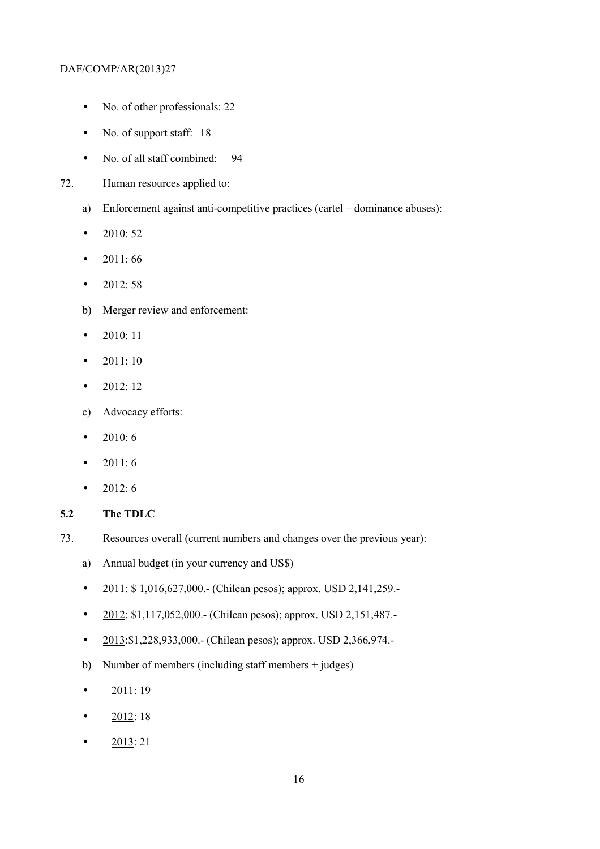- No. of other professionals: 22
- No. of support staff: 18
- No. of all staff combined: 94
- 72. Human resources applied to:
	- a) Enforcement against anti-competitive practices (cartel dominance abuses):
	- 2010:  $52$
	- 2011:66
	- 2012: 58
	- b) Merger review and enforcement:
	- 2010: 11
	- $2011:10$
	- $2012:12$
	- c) Advocacy efforts:
	- 2010: 6
	- 2011:6
	- 2012:  $6$
- **5.2 The TDLC**
- 73. Resources overall (current numbers and changes over the previous year):
	- a) Annual budget (in your currency and US\$)
	- 2011: \$1,016,627,000. (Chilean pesos); approx. USD 2,141,259.
	- 2012: \$1,117,052,000.- (Chilean pesos); approx. USD 2,151,487.-
	- 2013:\$1,228,933,000.- (Chilean pesos); approx. USD 2,366,974.-
	- b) Number of members (including staff members + judges)
	- $2011:19$
	- $2012:18$
	- $2013:21$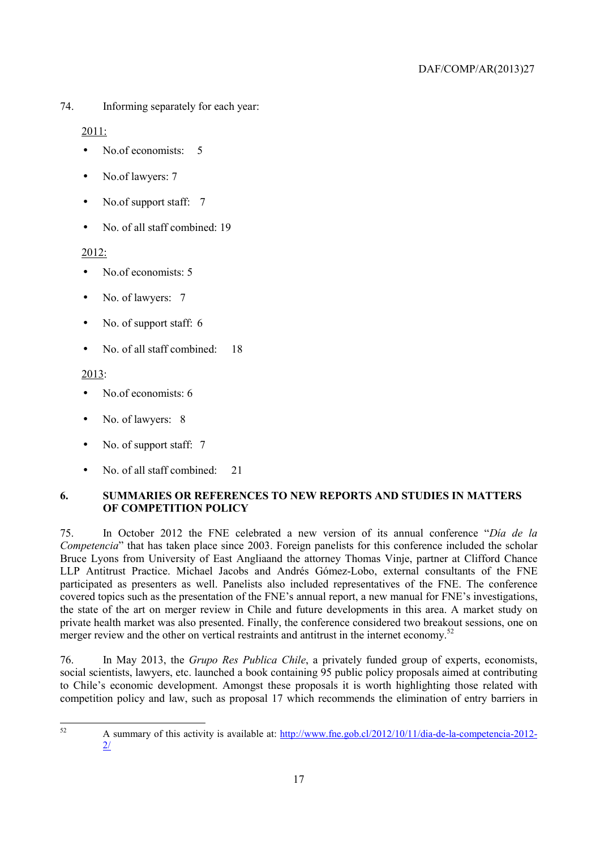74. Informing separately for each year:

2011:

- No.of economists: 5
- No.of lawyers: 7
- No.of support staff: 7
- No. of all staff combined: 19

#### 2012:

- No.of economists: 5
- No. of lawyers: 7
- No. of support staff: 6
- No. of all staff combined: 18

#### 2013:

- No of economists: 6
- No. of lawyers: 8
- No. of support staff: 7
- No. of all staff combined: 21

# **6. SUMMARIES OR REFERENCES TO NEW REPORTS AND STUDIES IN MATTERS OF COMPETITION POLICY**

75. In October 2012 the FNE celebrated a new version of its annual conference "*Día de la Competencia*" that has taken place since 2003. Foreign panelists for this conference included the scholar Bruce Lyons from University of East Angliaand the attorney Thomas Vinje, partner at Clifford Chance LLP Antitrust Practice. Michael Jacobs and Andrés Gómez-Lobo, external consultants of the FNE participated as presenters as well. Panelists also included representatives of the FNE. The conference covered topics such as the presentation of the FNE's annual report, a new manual for FNE's investigations, the state of the art on merger review in Chile and future developments in this area. A market study on private health market was also presented. Finally, the conference considered two breakout sessions, one on merger review and the other on vertical restraints and antitrust in the internet economy.<sup>52</sup>

76. In May 2013, the *Grupo Res Publica Chile*, a privately funded group of experts, economists, social scientists, lawyers, etc. launched a book containing 95 public policy proposals aimed at contributing to Chile's economic development. Amongst these proposals it is worth highlighting those related with competition policy and law, such as proposal 17 which recommends the elimination of entry barriers in

<sup>52</sup> 52 A summary of this activity is available at: http://www.fne.gob.cl/2012/10/11/dia-de-la-competencia-2012- 2/